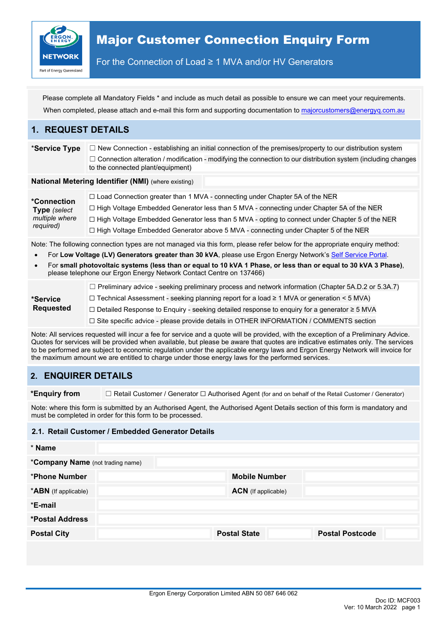

For the Connection of Load ≥ 1 MVA and/or HV Generators

Please complete all Mandatory Fields \* and include as much detail as possible to ensure we can meet your requirements. When completed, please attach and e-mail this form and supporting documentation t[o majorcustomers@energyq.com.au](mailto:majorcustomers@energyq.com.au)

### **1. REQUEST DETAILS**

\***Service Type** ☐ New Connection - establishing an initial connection of the premises/property to our distribution system □ Connection alteration / modification - modifying the connection to our distribution system (including changes to the connected plant/equipment)

**National Metering Identifier (NMI)** (where existing)

| *Connection                 | $\Box$ Load Connection greater than 1 MVA - connecting under Chapter 5A of the NER                    |
|-----------------------------|-------------------------------------------------------------------------------------------------------|
| Type (select                | $\Box$ High Voltage Embedded Generator less than 5 MVA - connecting under Chapter 5A of the NER       |
| multiple where<br>required) | $\Box$ High Voltage Embedded Generator less than 5 MVA - opting to connect under Chapter 5 of the NER |
|                             | □ High Voltage Embedded Generator above 5 MVA - connecting under Chapter 5 of the NER                 |

Note: The following connection types are not managed via this form, please refer below for the appropriate enquiry method:

- For **Low Voltage (LV) Generators greater than 30 kVA**, please use Ergon Energy Network's [Self Service Portal.](https://epp.ergon.com.au/epp/public/selfservice)
- For **small photovoltaic systems (less than or equal to 10 kVA 1 Phase, or less than or equal to 30 kVA 3 Phase)**, please telephone our Ergon Energy Network Contact Centre on 137466)

| *Service<br><b>Requested</b> | $\Box$ Preliminary advice - seeking preliminary process and network information (Chapter 5A.D.2 or 5.3A.7) |
|------------------------------|------------------------------------------------------------------------------------------------------------|
|                              | $\Box$ Technical Assessment - seeking planning report for a load $\geq 1$ MVA or generation < 5 MVA)       |
|                              | $\Box$ Detailed Response to Enquiry - seeking detailed response to enquiry for a generator $\geq$ 5 MVA    |
|                              | $\Box$ Site specific advice - please provide details in OTHER INFORMATION / COMMENTS section               |

Note: All services requested will incur a fee for service and a quote will be provided, with the exception of a Preliminary Advice. Quotes for services will be provided when available, but please be aware that quotes are indicative estimates only. The services to be performed are subject to economic regulation under the applicable energy laws and Ergon Energy Network will invoice for the maximum amount we are entitled to charge under those energy laws for the performed services.

## **2. ENQUIRER DETAILS**

**\*Enquiry from** ☐ Retail Customer / Generator ☐ Authorised Agent (for and on behalf of the Retail Customer / Generator)

Note: where this form is submitted by an Authorised Agent, the Authorised Agent Details section of this form is mandatory and must be completed in order for this form to be processed.

### **2.1. Retail Customer / Embedded Generator Details**

| * Name                           |                            |                        |  |  |
|----------------------------------|----------------------------|------------------------|--|--|
| *Company Name (not trading name) |                            |                        |  |  |
| *Phone Number                    | <b>Mobile Number</b>       |                        |  |  |
| *ABN (If applicable)             | <b>ACN</b> (If applicable) |                        |  |  |
| *E-mail                          |                            |                        |  |  |
| *Postal Address                  |                            |                        |  |  |
| <b>Postal City</b>               | <b>Postal State</b>        | <b>Postal Postcode</b> |  |  |
|                                  |                            |                        |  |  |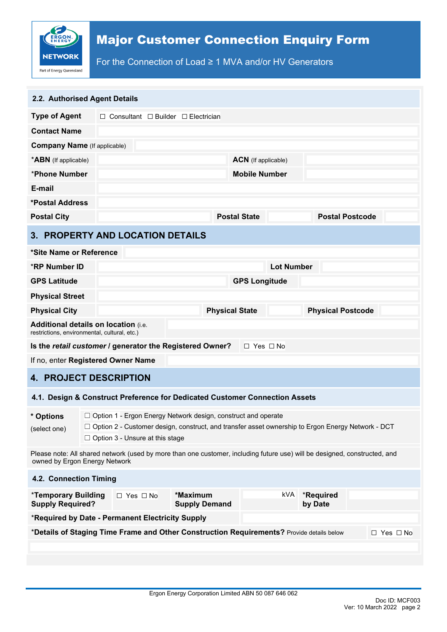

For the Connection of Load ≥ 1 MVA and/or HV Generators

| 2.2. Authorised Agent Details                                                                                                                                                                                                                      |  |                                                                                           |                                  |                       |                      |                   |                          |                        |                      |  |
|----------------------------------------------------------------------------------------------------------------------------------------------------------------------------------------------------------------------------------------------------|--|-------------------------------------------------------------------------------------------|----------------------------------|-----------------------|----------------------|-------------------|--------------------------|------------------------|----------------------|--|
| <b>Type of Agent</b>                                                                                                                                                                                                                               |  | $\Box$ Consultant $\Box$ Builder $\Box$ Electrician                                       |                                  |                       |                      |                   |                          |                        |                      |  |
| <b>Contact Name</b>                                                                                                                                                                                                                                |  |                                                                                           |                                  |                       |                      |                   |                          |                        |                      |  |
| <b>Company Name</b> (If applicable)                                                                                                                                                                                                                |  |                                                                                           |                                  |                       |                      |                   |                          |                        |                      |  |
| *ABN (If applicable)                                                                                                                                                                                                                               |  | <b>ACN</b> (If applicable)                                                                |                                  |                       |                      |                   |                          |                        |                      |  |
| *Phone Number                                                                                                                                                                                                                                      |  | <b>Mobile Number</b>                                                                      |                                  |                       |                      |                   |                          |                        |                      |  |
| E-mail                                                                                                                                                                                                                                             |  |                                                                                           |                                  |                       |                      |                   |                          |                        |                      |  |
| *Postal Address                                                                                                                                                                                                                                    |  |                                                                                           |                                  |                       |                      |                   |                          |                        |                      |  |
| <b>Postal City</b>                                                                                                                                                                                                                                 |  |                                                                                           |                                  |                       | <b>Postal State</b>  |                   |                          | <b>Postal Postcode</b> |                      |  |
|                                                                                                                                                                                                                                                    |  | 3. PROPERTY AND LOCATION DETAILS                                                          |                                  |                       |                      |                   |                          |                        |                      |  |
| *Site Name or Reference                                                                                                                                                                                                                            |  |                                                                                           |                                  |                       |                      |                   |                          |                        |                      |  |
| <b>*RP Number ID</b>                                                                                                                                                                                                                               |  |                                                                                           |                                  |                       |                      | <b>Lot Number</b> |                          |                        |                      |  |
| <b>GPS Latitude</b>                                                                                                                                                                                                                                |  |                                                                                           |                                  |                       | <b>GPS Longitude</b> |                   |                          |                        |                      |  |
| <b>Physical Street</b>                                                                                                                                                                                                                             |  |                                                                                           |                                  |                       |                      |                   |                          |                        |                      |  |
| <b>Physical City</b>                                                                                                                                                                                                                               |  |                                                                                           |                                  | <b>Physical State</b> |                      |                   | <b>Physical Postcode</b> |                        |                      |  |
| Additional details on location (i.e.<br>restrictions, environmental, cultural, etc.)                                                                                                                                                               |  |                                                                                           |                                  |                       |                      |                   |                          |                        |                      |  |
|                                                                                                                                                                                                                                                    |  | Is the retail customer / generator the Registered Owner?                                  |                                  |                       | $\Box$ Yes $\Box$ No |                   |                          |                        |                      |  |
| If no, enter Registered Owner Name                                                                                                                                                                                                                 |  |                                                                                           |                                  |                       |                      |                   |                          |                        |                      |  |
| <b>4. PROJECT DESCRIPTION</b>                                                                                                                                                                                                                      |  |                                                                                           |                                  |                       |                      |                   |                          |                        |                      |  |
|                                                                                                                                                                                                                                                    |  | 4.1. Design & Construct Preference for Dedicated Customer Connection Assets               |                                  |                       |                      |                   |                          |                        |                      |  |
| * Options<br>$\Box$ Option 1 - Ergon Energy Network design, construct and operate<br>□ Option 2 - Customer design, construct, and transfer asset ownership to Ergon Energy Network - DCT<br>(select one)<br>$\Box$ Option 3 - Unsure at this stage |  |                                                                                           |                                  |                       |                      |                   |                          |                        |                      |  |
| Please note: All shared network (used by more than one customer, including future use) will be designed, constructed, and<br>owned by Ergon Energy Network                                                                                         |  |                                                                                           |                                  |                       |                      |                   |                          |                        |                      |  |
| 4.2. Connection Timing                                                                                                                                                                                                                             |  |                                                                                           |                                  |                       |                      |                   |                          |                        |                      |  |
| *Temporary Building<br><b>Supply Required?</b>                                                                                                                                                                                                     |  | □ Yes □ No                                                                                | *Maximum<br><b>Supply Demand</b> |                       |                      | kVA               | *Required<br>by Date     |                        |                      |  |
|                                                                                                                                                                                                                                                    |  | *Required by Date - Permanent Electricity Supply                                          |                                  |                       |                      |                   |                          |                        |                      |  |
|                                                                                                                                                                                                                                                    |  | *Details of Staging Time Frame and Other Construction Requirements? Provide details below |                                  |                       |                      |                   |                          |                        | $\Box$ Yes $\Box$ No |  |
|                                                                                                                                                                                                                                                    |  |                                                                                           |                                  |                       |                      |                   |                          |                        |                      |  |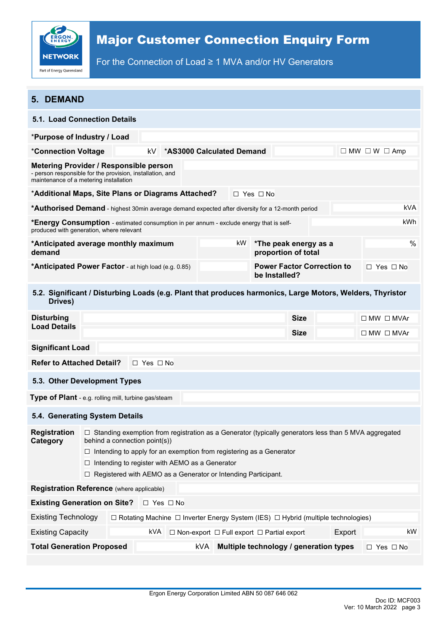

For the Connection of Load ≥ 1 MVA and/or HV Generators

| <b>5. DEMAND</b>                                                                                                                                                                                                                                                                                                                                                                   |                                                                          |  |     |                      |     |    |                                                            |                                              |                                                                                                   |                       |
|------------------------------------------------------------------------------------------------------------------------------------------------------------------------------------------------------------------------------------------------------------------------------------------------------------------------------------------------------------------------------------|--------------------------------------------------------------------------|--|-----|----------------------|-----|----|------------------------------------------------------------|----------------------------------------------|---------------------------------------------------------------------------------------------------|-----------------------|
| <b>5.1. Load Connection Details</b>                                                                                                                                                                                                                                                                                                                                                |                                                                          |  |     |                      |     |    |                                                            |                                              |                                                                                                   |                       |
| *Purpose of Industry / Load                                                                                                                                                                                                                                                                                                                                                        |                                                                          |  |     |                      |     |    |                                                            |                                              |                                                                                                   |                       |
| *Connection Voltage                                                                                                                                                                                                                                                                                                                                                                | <b>*AS3000 Calculated Demand</b><br>kV.<br>$\Box$ MW $\Box$ W $\Box$ Amp |  |     |                      |     |    |                                                            |                                              |                                                                                                   |                       |
| <b>Metering Provider / Responsible person</b><br>- person responsible for the provision, installation, and<br>maintenance of a metering installation                                                                                                                                                                                                                               |                                                                          |  |     |                      |     |    |                                                            |                                              |                                                                                                   |                       |
| *Additional Maps, Site Plans or Diagrams Attached?<br>$\Box$ Yes $\Box$ No                                                                                                                                                                                                                                                                                                         |                                                                          |  |     |                      |     |    |                                                            |                                              |                                                                                                   |                       |
| *Authorised Demand - highest 30min average demand expected after diversity for a 12-month period                                                                                                                                                                                                                                                                                   |                                                                          |  |     |                      |     |    |                                                            |                                              |                                                                                                   | <b>kVA</b>            |
| <b>*Energy Consumption</b> - estimated consumption in per annum - exclude energy that is self-<br>produced with generation, where relevant                                                                                                                                                                                                                                         |                                                                          |  |     |                      |     |    |                                                            |                                              |                                                                                                   | kWh                   |
| *Anticipated average monthly maximum<br>demand                                                                                                                                                                                                                                                                                                                                     |                                                                          |  |     |                      |     | kW |                                                            | *The peak energy as a<br>proportion of total |                                                                                                   | %                     |
| *Anticipated Power Factor - at high load (e.g. 0.85)                                                                                                                                                                                                                                                                                                                               |                                                                          |  |     |                      |     |    | be Installed?                                              | <b>Power Factor Correction to</b>            |                                                                                                   | $\Box$ Yes $\Box$ No  |
| 5.2. Significant / Disturbing Loads (e.g. Plant that produces harmonics, Large Motors, Welders, Thyristor<br>Drives)                                                                                                                                                                                                                                                               |                                                                          |  |     |                      |     |    |                                                            |                                              |                                                                                                   |                       |
| <b>Disturbing</b>                                                                                                                                                                                                                                                                                                                                                                  |                                                                          |  |     |                      |     |    |                                                            | <b>Size</b>                                  |                                                                                                   | $\Box$ MW $\Box$ MVAr |
| <b>Load Details</b>                                                                                                                                                                                                                                                                                                                                                                |                                                                          |  |     |                      |     |    |                                                            | <b>Size</b>                                  |                                                                                                   | $\Box$ MW $\Box$ MVAr |
| <b>Significant Load</b>                                                                                                                                                                                                                                                                                                                                                            |                                                                          |  |     |                      |     |    |                                                            |                                              |                                                                                                   |                       |
|                                                                                                                                                                                                                                                                                                                                                                                    | <b>Refer to Attached Detail?</b><br>$\Box$ Yes $\Box$ No                 |  |     |                      |     |    |                                                            |                                              |                                                                                                   |                       |
| 5.3. Other Development Types                                                                                                                                                                                                                                                                                                                                                       |                                                                          |  |     |                      |     |    |                                                            |                                              |                                                                                                   |                       |
| Type of Plant - e.g. rolling mill, turbine gas/steam                                                                                                                                                                                                                                                                                                                               |                                                                          |  |     |                      |     |    |                                                            |                                              |                                                                                                   |                       |
| 5.4. Generating System Details                                                                                                                                                                                                                                                                                                                                                     |                                                                          |  |     |                      |     |    |                                                            |                                              |                                                                                                   |                       |
| <b>Registration</b><br>□ Standing exemption from registration as a Generator (typically generators less than 5 MVA aggregated<br>behind a connection point(s))<br>Category<br>$\Box$ Intending to apply for an exemption from registering as a Generator<br>Intending to register with AEMO as a Generator<br>□<br>□ Registered with AEMO as a Generator or Intending Participant. |                                                                          |  |     |                      |     |    |                                                            |                                              |                                                                                                   |                       |
| Registration Reference (where applicable)                                                                                                                                                                                                                                                                                                                                          |                                                                          |  |     |                      |     |    |                                                            |                                              |                                                                                                   |                       |
| <b>Existing Generation on Site?</b>                                                                                                                                                                                                                                                                                                                                                |                                                                          |  |     | $\Box$ Yes $\Box$ No |     |    |                                                            |                                              |                                                                                                   |                       |
| <b>Existing Technology</b>                                                                                                                                                                                                                                                                                                                                                         |                                                                          |  |     |                      |     |    |                                                            |                                              | $\Box$ Rotating Machine $\Box$ Inverter Energy System (IES) $\Box$ Hybrid (multiple technologies) |                       |
| <b>Existing Capacity</b>                                                                                                                                                                                                                                                                                                                                                           |                                                                          |  | kVA |                      |     |    | $\Box$ Non-export $\Box$ Full export $\Box$ Partial export |                                              | Export                                                                                            | kW                    |
| <b>Total Generation Proposed</b>                                                                                                                                                                                                                                                                                                                                                   |                                                                          |  |     |                      | kVA |    |                                                            |                                              | Multiple technology / generation types                                                            | $\Box$ Yes $\Box$ No  |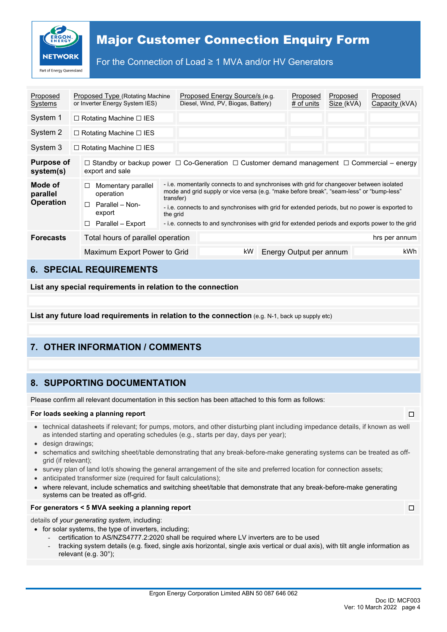

For the Connection of Load ≥ 1 MVA and/or HV Generators

| Proposed<br>Systems                     | Proposed Type (Rotating Machine<br>or Inverter Energy System IES)                                                                                                                                                                                                                                                                                                                                                                                                                                                               |  |  | Proposed Energy Source/s (e.g.<br>Diesel, Wind, PV, Biogas, Battery) |    |  | Proposed<br>$#$ of units | Proposed<br>Size (kVA) |  | Proposed<br>Capacity (kVA) |
|-----------------------------------------|---------------------------------------------------------------------------------------------------------------------------------------------------------------------------------------------------------------------------------------------------------------------------------------------------------------------------------------------------------------------------------------------------------------------------------------------------------------------------------------------------------------------------------|--|--|----------------------------------------------------------------------|----|--|--------------------------|------------------------|--|----------------------------|
| System 1                                | $\Box$ Rotating Machine $\Box$ IES                                                                                                                                                                                                                                                                                                                                                                                                                                                                                              |  |  |                                                                      |    |  |                          |                        |  |                            |
| System 2                                | $\Box$ Rotating Machine $\Box$ IES                                                                                                                                                                                                                                                                                                                                                                                                                                                                                              |  |  |                                                                      |    |  |                          |                        |  |                            |
| System 3                                | $\Box$ Rotating Machine $\Box$ IES                                                                                                                                                                                                                                                                                                                                                                                                                                                                                              |  |  |                                                                      |    |  |                          |                        |  |                            |
| <b>Purpose of</b><br>system(s)          | $\Box$ Standby or backup power $\Box$ Co-Generation $\Box$ Customer demand management $\Box$ Commercial – energy<br>export and sale                                                                                                                                                                                                                                                                                                                                                                                             |  |  |                                                                      |    |  |                          |                        |  |                            |
| Mode of<br>parallel<br><b>Operation</b> | - i.e. momentarily connects to and synchronises with grid for changeover between isolated<br>Momentary parallel<br>□<br>mode and grid supply or vice versa (e.g. "make before break", "seam-less" or "bump-less"<br>operation<br>transfer)<br>П.<br>Parallel - Non-<br>- i.e. connects to and synchronises with grid for extended periods, but no power is exported to<br>export<br>the grid<br>- i.e. connects to and synchronises with grid for extended periods and exports power to the grid<br>Parallel - Export<br>$\Box$ |  |  |                                                                      |    |  |                          |                        |  |                            |
| <b>Forecasts</b>                        | Total hours of parallel operation                                                                                                                                                                                                                                                                                                                                                                                                                                                                                               |  |  |                                                                      |    |  |                          |                        |  | hrs per annum              |
|                                         | Maximum Export Power to Grid                                                                                                                                                                                                                                                                                                                                                                                                                                                                                                    |  |  |                                                                      | kW |  | Energy Output per annum  |                        |  | kWh                        |

## **6. SPECIAL REQUIREMENTS**

**List any special requirements in relation to the connection**

**List any future load requirements in relation to the connection** (e.g. N-1, back up supply etc)

# **7. OTHER INFORMATION / COMMENTS**

## **8. SUPPORTING DOCUMENTATION**

Please confirm all relevant documentation in this section has been attached to this form as follows:

#### **For loads seeking a planning report** ☐

- technical datasheets if relevant; for pumps, motors, and other disturbing plant including impedance details, if known as well as intended starting and operating schedules (e.g., starts per day, days per year);
- design drawings;
- schematics and switching sheet/table demonstrating that any break-before-make generating systems can be treated as offgrid (if relevant);
- survey plan of land lot/s showing the general arrangement of the site and preferred location for connection assets;
- anticipated transformer size (required for fault calculations);
- where relevant, include schematics and switching sheet/table that demonstrate that any break-before-make generating systems can be treated as off-grid.

#### **For generators < 5 MVA seeking a planning report** ☐

details of *your generating system*, including:

- for solar systems, the type of inverters, including;
	- certification to AS/NZS4777.2:2020 shall be required where LV inverters are to be used
	- tracking system details (e.g. fixed, single axis horizontal, single axis vertical or dual axis), with tilt angle information as relevant (e.g. 30°);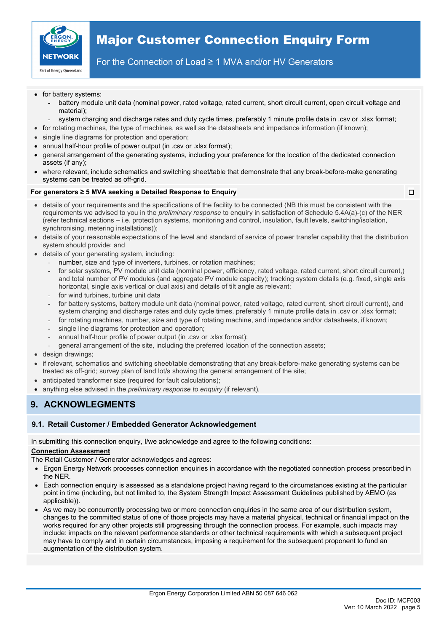

### For the Connection of Load ≥ 1 MVA and/or HV Generators

- for battery systems:
	- battery module unit data (nominal power, rated voltage, rated current, short circuit current, open circuit voltage and material);
	- system charging and discharge rates and duty cycle times, preferably 1 minute profile data in .csv or .xlsx format;
- for rotating machines, the type of machines, as well as the datasheets and impedance information (if known);
- single line diagrams for protection and operation;
- annual half-hour profile of power output (in .csv or .xlsx format);
- general arrangement of the generating systems, including your preference for the location of the dedicated connection assets (if any);
- where relevant, include schematics and switching sheet/table that demonstrate that any break-before-make generating systems can be treated as off-grid.

#### **For generators ≥ 5 MVA seeking a Detailed Response to Enquiry** ☐

- details of your requirements and the specifications of the facility to be connected (NB this must be consistent with the requirements we advised to you in the *preliminary response* to enquiry in satisfaction of Schedule 5.4A(a)-(c) of the NER (refer technical sections – i.e. protection systems, monitoring and control, insulation, fault levels, switching/isolation, synchronising, metering installations));
- details of your reasonable expectations of the level and standard of service of power transfer capability that the distribution system should provide; and
- details of your generating system, including:
	- number, size and type of inverters, turbines, or rotation machines;
	- for solar systems, PV module unit data (nominal power, efficiency, rated voltage, rated current, short circuit current,) and total number of PV modules (and aggregate PV module capacity); tracking system details (e.g. fixed, single axis horizontal, single axis vertical or dual axis) and details of tilt angle as relevant;
	- for wind turbines, turbine unit data
	- for battery systems, battery module unit data (nominal power, rated voltage, rated current, short circuit current), and system charging and discharge rates and duty cycle times, preferably 1 minute profile data in .csv or .xlsx format;
	- for rotating machines, number, size and type of rotating machine, and impedance and/or datasheets, if known;
	- single line diagrams for protection and operation;
	- annual half-hour profile of power output (in .csv or .xlsx format);
	- general arrangement of the site, including the preferred location of the connection assets;
- design drawings;
- if relevant, schematics and switching sheet/table demonstrating that any break-before-make generating systems can be treated as off-grid; survey plan of land lot/s showing the general arrangement of the site;
- anticipated transformer size (required for fault calculations);
- anything else advised in the *preliminary response to enquiry* (if relevant)*.*

## **9. ACKNOWLEGMENTS**

### **9.1. Retail Customer / Embedded Generator Acknowledgement**

In submitting this connection enquiry, I/we acknowledge and agree to the following conditions:

### **Connection Assessment**

The Retail Customer / Generator acknowledges and agrees:

- Ergon Energy Network processes connection enquiries in accordance with the negotiated connection process prescribed in the NER.
- Each connection enquiry is assessed as a standalone project having regard to the circumstances existing at the particular point in time (including, but not limited to, the System Strength Impact Assessment Guidelines published by AEMO (as applicable)).
- As we may be concurrently processing two or more connection enquiries in the same area of our distribution system, changes to the committed status of one of those projects may have a material physical, technical or financial impact on the works required for any other projects still progressing through the connection process. For example, such impacts may include: impacts on the relevant performance standards or other technical requirements with which a subsequent project may have to comply and in certain circumstances, imposing a requirement for the subsequent proponent to fund an augmentation of the distribution system.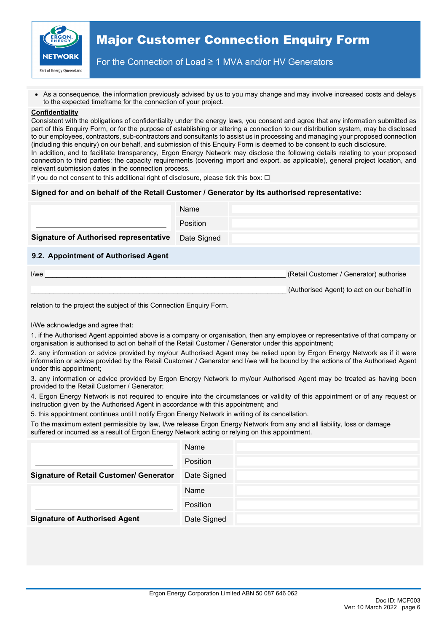

For the Connection of Load ≥ 1 MVA and/or HV Generators

• As a consequence, the information previously advised by us to you may change and may involve increased costs and delays to the expected timeframe for the connection of your project.

#### **Confidentiality**

Consistent with the obligations of confidentiality under the energy laws, you consent and agree that any information submitted as part of this Enquiry Form, or for the purpose of establishing or altering a connection to our distribution system, may be disclosed to our employees, contractors, sub-contractors and consultants to assist us in processing and managing your proposed connection (including this enquiry) on our behalf, and submission of this Enquiry Form is deemed to be consent to such disclosure. In addition, and to facilitate transparency, Ergon Energy Network may disclose the following details relating to your proposed connection to third parties: the capacity requirements (covering import and export, as applicable), general project location, and

If you do not consent to this additional right of disclosure, please tick this box:  $\Box$ 

relevant submission dates in the connection process.

### **Signed for and on behalf of the Retail Customer / Generator by its authorised representative:**

|                                               | Name            |                                         |
|-----------------------------------------------|-----------------|-----------------------------------------|
|                                               | <b>Position</b> |                                         |
| <b>Signature of Authorised representative</b> | Date Signed     |                                         |
| 9.2. Appointment of Authorised Agent          |                 |                                         |
| I/we                                          |                 | (Retail Customer / Generator) authorise |

(Authorised Agent) to act on our behalf in

relation to the project the subject of this Connection Enquiry Form.

I/We acknowledge and agree that:

1. if the Authorised Agent appointed above is a company or organisation, then any employee or representative of that company or organisation is authorised to act on behalf of the Retail Customer / Generator under this appointment;

2. any information or advice provided by my/our Authorised Agent may be relied upon by Ergon Energy Network as if it were information or advice provided by the Retail Customer / Generator and I/we will be bound by the actions of the Authorised Agent under this appointment;

3. any information or advice provided by Ergon Energy Network to my/our Authorised Agent may be treated as having been provided to the Retail Customer / Generator;

4. Ergon Energy Network is not required to enquire into the circumstances or validity of this appointment or of any request or instruction given by the Authorised Agent in accordance with this appointment; and

5. this appointment continues until I notify Ergon Energy Network in writing of its cancellation.

To the maximum extent permissible by law, I/we release Ergon Energy Network from any and all liability, loss or damage suffered or incurred as a result of Ergon Energy Network acting or relying on this appointment.

|                                                | Name        |
|------------------------------------------------|-------------|
|                                                | Position    |
| <b>Signature of Retail Customer/ Generator</b> | Date Signed |
|                                                | Name        |
|                                                | Position    |
| <b>Signature of Authorised Agent</b>           | Date Signed |
|                                                |             |